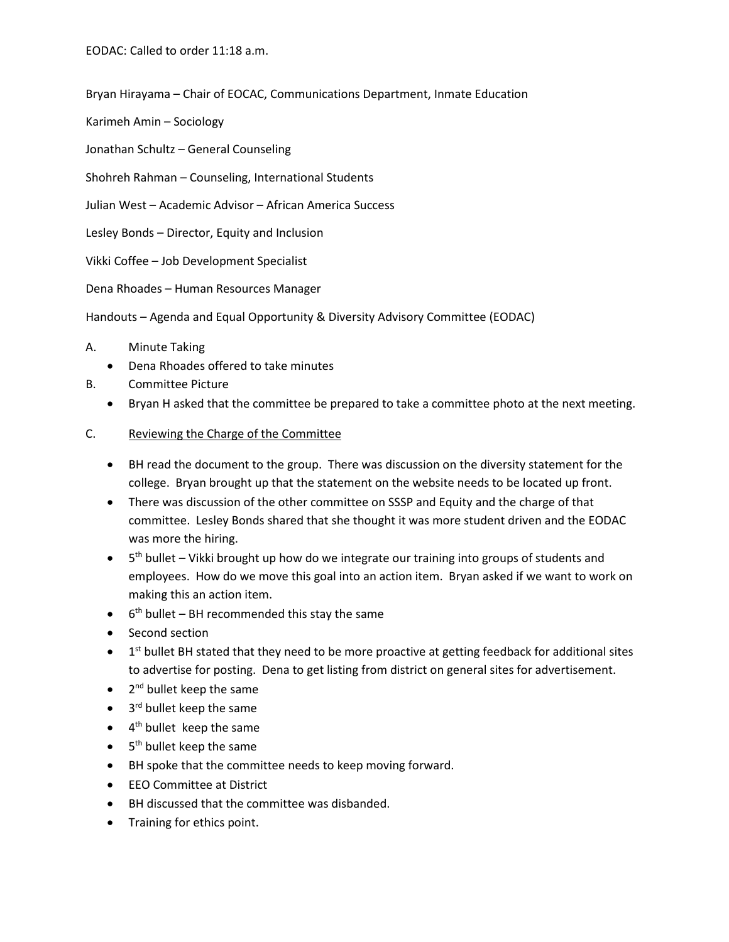EODAC: Called to order 11:18 a.m.

Bryan Hirayama – Chair of EOCAC, Communications Department, Inmate Education

Karimeh Amin – Sociology

Jonathan Schultz – General Counseling

Shohreh Rahman – Counseling, International Students

Julian West – Academic Advisor – African America Success

Lesley Bonds – Director, Equity and Inclusion

Vikki Coffee – Job Development Specialist

Dena Rhoades – Human Resources Manager

Handouts – Agenda and Equal Opportunity & Diversity Advisory Committee (EODAC)

## A. Minute Taking

- Dena Rhoades offered to take minutes
- B. Committee Picture
	- Bryan H asked that the committee be prepared to take a committee photo at the next meeting.

## C. Reviewing the Charge of the Committee

- BH read the document to the group. There was discussion on the diversity statement for the college. Bryan brought up that the statement on the website needs to be located up front.
- There was discussion of the other committee on SSSP and Equity and the charge of that committee. Lesley Bonds shared that she thought it was more student driven and the EODAC was more the hiring.
- 5<sup>th</sup> bullet Vikki brought up how do we integrate our training into groups of students and employees. How do we move this goal into an action item. Bryan asked if we want to work on making this an action item.
- $\bullet$  6<sup>th</sup> bullet BH recommended this stay the same
- Second section
- $\bullet$  1<sup>st</sup> bullet BH stated that they need to be more proactive at getting feedback for additional sites to advertise for posting. Dena to get listing from district on general sites for advertisement.
- $\bullet$  2<sup>nd</sup> bullet keep the same
- $\bullet$  3<sup>rd</sup> bullet keep the same
- $\bullet$  4<sup>th</sup> bullet keep the same
- $\bullet$  5<sup>th</sup> bullet keep the same
- BH spoke that the committee needs to keep moving forward.
- EEO Committee at District
- BH discussed that the committee was disbanded.
- Training for ethics point.